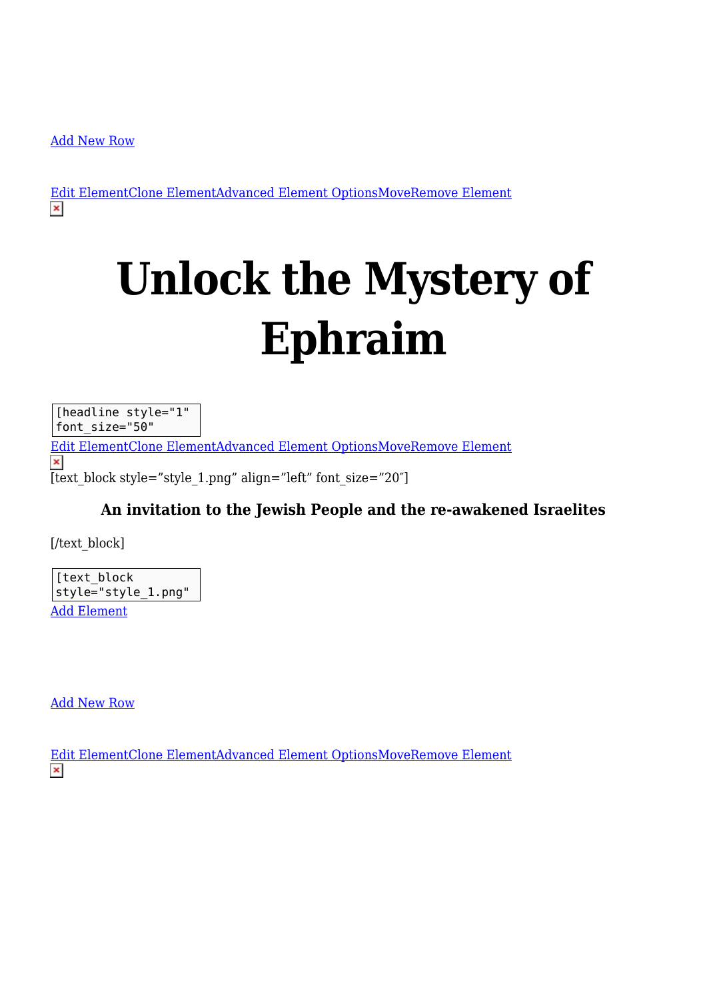[Add New Row](#page--1-0)

[Edit ElementClone ElementAdvanced Element OptionsMoveRemove Element](#page--1-0)

# **Unlock the Mystery of Ephraim**

[headline style="1" font\_size="50"

[Edit ElementClone ElementAdvanced Element OptionsMoveRemove Element](#page--1-0)  $\pmb{\times}$ [text block style="style 1.png" align="left" font size="20"]

#### **An invitation to the Jewish People and the re-awakened Israelites**

[/text\_block]

[text\_block style="style 1.png" [Add Element](#page--1-0)

[Add New Row](#page--1-0)

[Edit ElementClone ElementAdvanced Element OptionsMoveRemove Element](#page--1-0) $\pmb{\times}$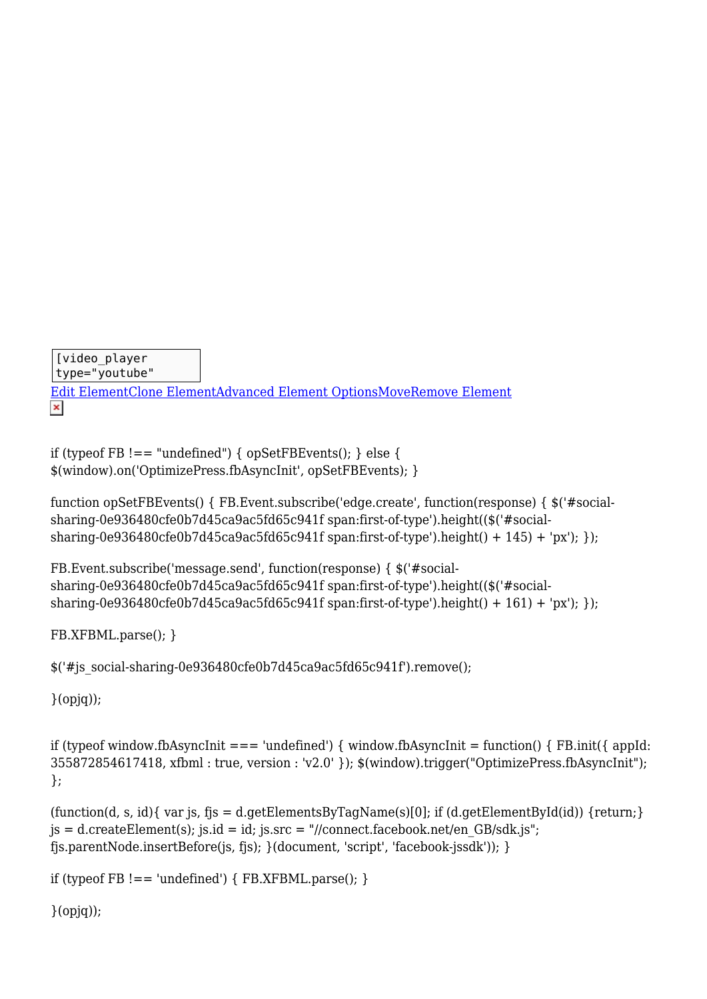```
[video_player
type="youtube"
Edit ElementClone ElementAdvanced Element OptionsMoveRemove Element
\pmb{\times}
```

```
if (typeof FB ! == "undefined") { opSetFBEvents(); } else {
$(window).on('OptimizePress.fbAsyncInit', opSetFBEvents); }
```

```
function opSetFBEvents() { FB.Event.subscribe('edge.create', function(response) { $('#social-
sharing-0e936480cfe0b7d45ca9ac5fd65c941f span:first-of-type').height(($('#social-
sharing-0e936480cfe0b7d45ca9ac5fd65c941f span:first-of-type').height() + 145) + 'px'); });
```

```
FB.Event.subscribe('message.send', function(response) { $('#social-
sharing-0e936480cfe0b7d45ca9ac5fd65c941f span:first-of-type').height(($('#social-
sharing-0e936480cfe0b7d45ca9ac5fd65c941f span:first-of-type').height() + 161) + 'px'); });
```

```
FB.XFBML.parse(); }
```
\$('#js\_social-sharing-0e936480cfe0b7d45ca9ac5fd65c941f').remove();

}(opjq));

if (typeof window.fbAsyncInit === 'undefined') { window.fbAsyncInit = function() {  $FB$ .init({ appId: 355872854617418, xfbml : true, version : 'v2.0' }); \$(window).trigger("OptimizePress.fbAsyncInit"); };

```
(\text{function}(d, s, id) \{ \text{var } is, \text{f} \} = d \cdot \text{getElementsByTagName}(s)[0]; if (d \cdot \text{getElementById}(id)) {return; }
js = d.createElement(s); jsi.d = id; jsis.sc = \frac{\pi}{100} jens. st = 0.0 sols. jens. jens.fjs.parentNode.insertBefore(js, fjs); }(document, 'script', 'facebook-jssdk')); }
```

```
if (typeof FB !== 'undefined') { FB.XFBML.parse(); }
```

```
}(opjq));
```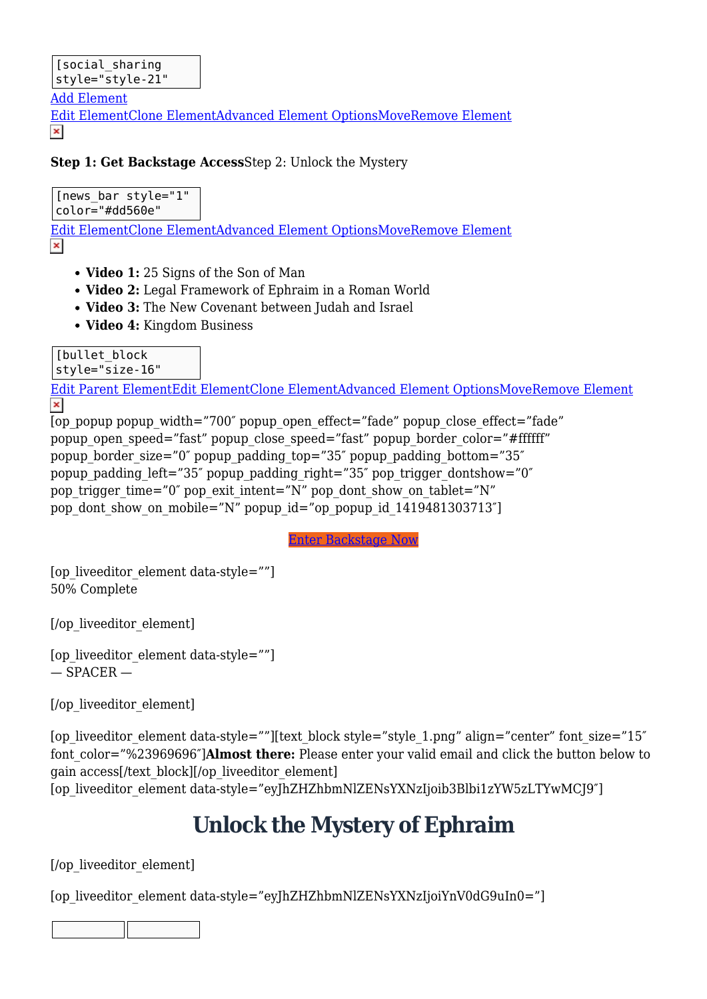[Add Element](#page--1-0)

[Edit ElementClone ElementAdvanced Element OptionsMoveRemove Element](#page--1-0)  $\pmb{\times}$ 

#### **Step 1: Get Backstage Access**Step 2: Unlock the Mystery

[news\_bar style="1"

color="#dd560e"

[Edit ElementClone ElementAdvanced Element OptionsMoveRemove Element](#page--1-0)

- **Video 1:** 25 Signs of the Son of Man
- **Video 2:** Legal Framework of Ephraim in a Roman World
- **Video 3:** The New Covenant between Judah and Israel
- **Video 4:** Kingdom Business

[bullet block

style="size-16"

[Edit Parent ElementEdit ElementClone ElementAdvanced Element OptionsMoveRemove Element](#page--1-0)  $\pmb{\times}$ 

```
[op_popup popup_width="700" popup_open_effect="fade" popup_close_effect="fade"
popup open speed="fast" popup close speed="fast" popup border color="#ffffff"
popup border size="0" popup padding top="35" popup padding bottom="35"
popup padding left="35" popup padding right="35" pop trigger dontshow="0"
pop_trigger_time="0" pop_exit_intent="N" pop_dont_show_on_tablet="N"
pop dont show on mobile="N" popup id="op popup id 1419481303713"]
```
Enter Backstage Now

[op\_liveeditor\_element data-style=""] 50% Complete

[/op\_liveeditor\_element]

```
[op_liveeditor_element data-style=""]
- SPACER -
```
[/op\_liveeditor\_element]

[op\_liveeditor\_element data-style=""][text\_block style="style\_1.png" align="center" font\_size="15" font\_color="%23969696″]**Almost there:** Please enter your valid email and click the button below to gain access[/text\_block][/op\_liveeditor\_element] [op\_liveeditor\_element data-style="eyJhZHZhbmNlZENsYXNzIjoib3Blbi1zYW5zLTYwMCJ9″]

### **Unlock the Mystery of Ephraim**

[/op\_liveeditor\_element]

[op\_liveeditor\_element data-style="eyJhZHZhbmNlZENsYXNzIjoiYnV0dG9uIn0="]

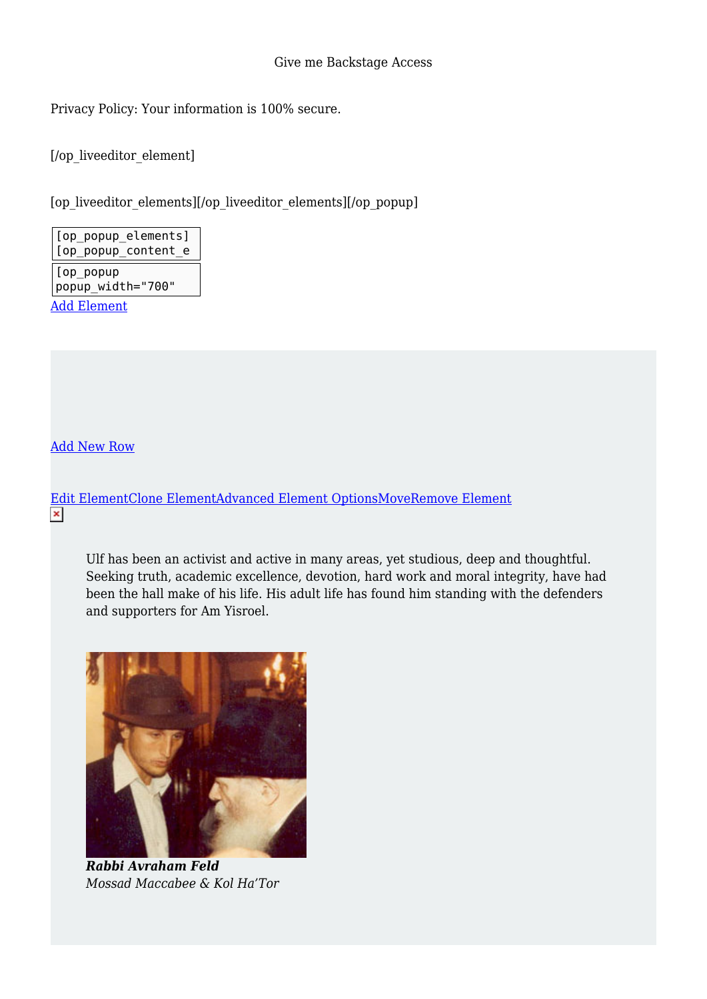Privacy Policy: Your information is 100% secure.

[/op\_liveeditor\_element]

[op\_liveeditor\_elements][/op\_liveeditor\_elements][/op\_popup]

[op\_popup\_elements] [op\_popup\_content\_e [op\_popup popup\_width="700" [Add Element](#page--1-0)

[Add New Row](#page--1-0)

[Edit ElementClone ElementAdvanced Element OptionsMoveRemove Element](#page--1-0)

Ulf has been an activist and active in many areas, yet studious, deep and thoughtful. Seeking truth, academic excellence, devotion, hard work and moral integrity, have had been the hall make of his life. His adult life has found him standing with the defenders and supporters for Am Yisroel.



*Rabbi Avraham Feld Mossad Maccabee & Kol Ha'Tor*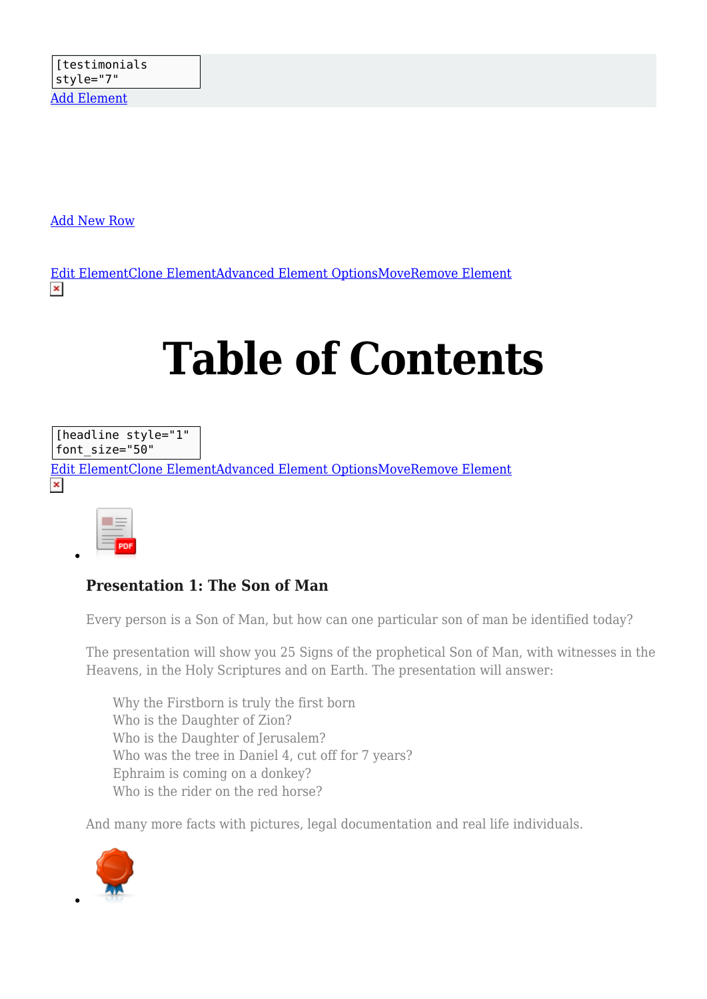[Add New Row](#page--1-0)

[Edit ElementClone ElementAdvanced Element OptionsMoveRemove Element](#page--1-0)  $\pmb{\times}$ 

## **Table of Contents**

[headline style="1" font\_size="50"

[Edit ElementClone ElementAdvanced Element OptionsMoveRemove Element](#page--1-0)  $\pmb{\times}$ 

| - |  |
|---|--|

#### **Presentation 1: The Son of Man**

Every person is a Son of Man, but how can one particular son of man be identified today?

The presentation will show you 25 Signs of the prophetical Son of Man, with witnesses in the Heavens, in the Holy Scriptures and on Earth. The presentation will answer:

Why the Firstborn is truly the first born Who is the Daughter of Zion? Who is the Daughter of Jerusalem? Who was the tree in Daniel 4, cut off for 7 years? Ephraim is coming on a donkey? Who is the rider on the red horse?

And many more facts with pictures, legal documentation and real life individuals.

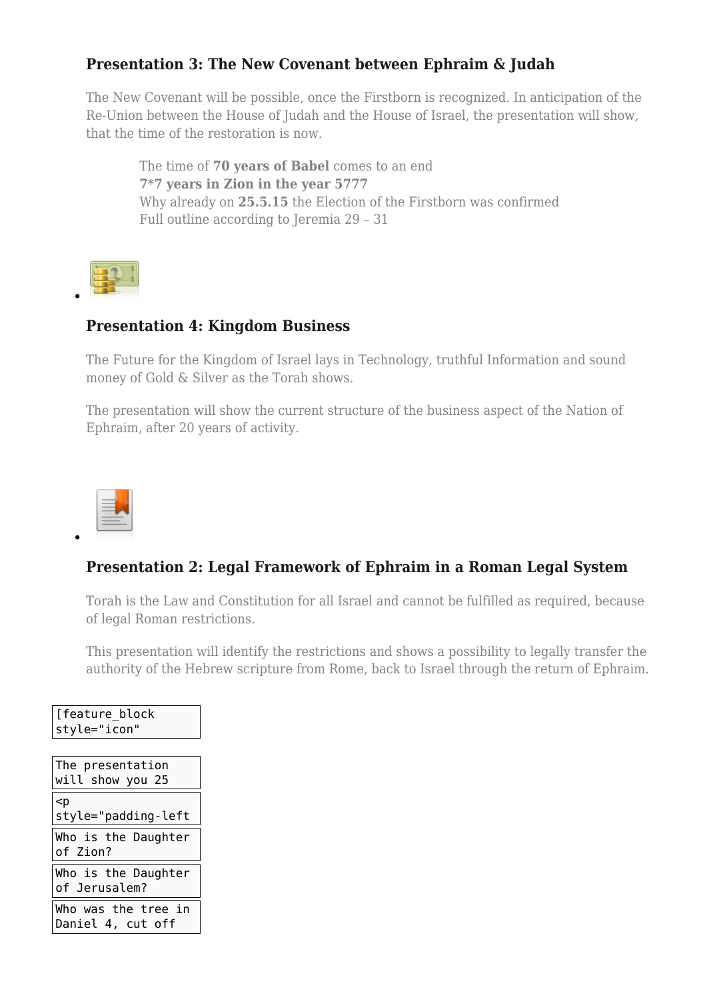#### **Presentation 3: The New Covenant between Ephraim & Judah**

The New Covenant will be possible, once the Firstborn is recognized. In anticipation of the Re-Union between the House of Judah and the House of Israel, the presentation will show, that the time of the restoration is now.

The time of **70 years of Babel** comes to an end **7\*7 years in Zion in the year 5777** Why already on **25.5.15** the Election of the Firstborn was confirmed Full outline according to Jeremia 29 – 31

$$
\mathbb{E}^{\mathbb{Z}}
$$

#### **Presentation 4: Kingdom Business**

The Future for the Kingdom of Israel lays in Technology, truthful Information and sound money of Gold & Silver as the Torah shows.

The presentation will show the current structure of the business aspect of the Nation of Ephraim, after 20 years of activity.



#### **Presentation 2: Legal Framework of Ephraim in a Roman Legal System**

Torah is the Law and Constitution for all Israel and cannot be fulfilled as required, because of legal Roman restrictions.

This presentation will identify the restrictions and shows a possibility to legally transfer the authority of the Hebrew scripture from Rome, back to Israel through the return of Ephraim.

| [feature block]<br>style="icon"          |
|------------------------------------------|
|                                          |
| $ $ The presentation                     |
| will show you 25                         |
| $\mathsf{I}$<br>style="padding-left      |
| Who is the Daughter<br>of Zion?          |
| Who is the Daughter<br>of Jerusalem?     |
| Who was the tree in<br>Daniel 4, cut off |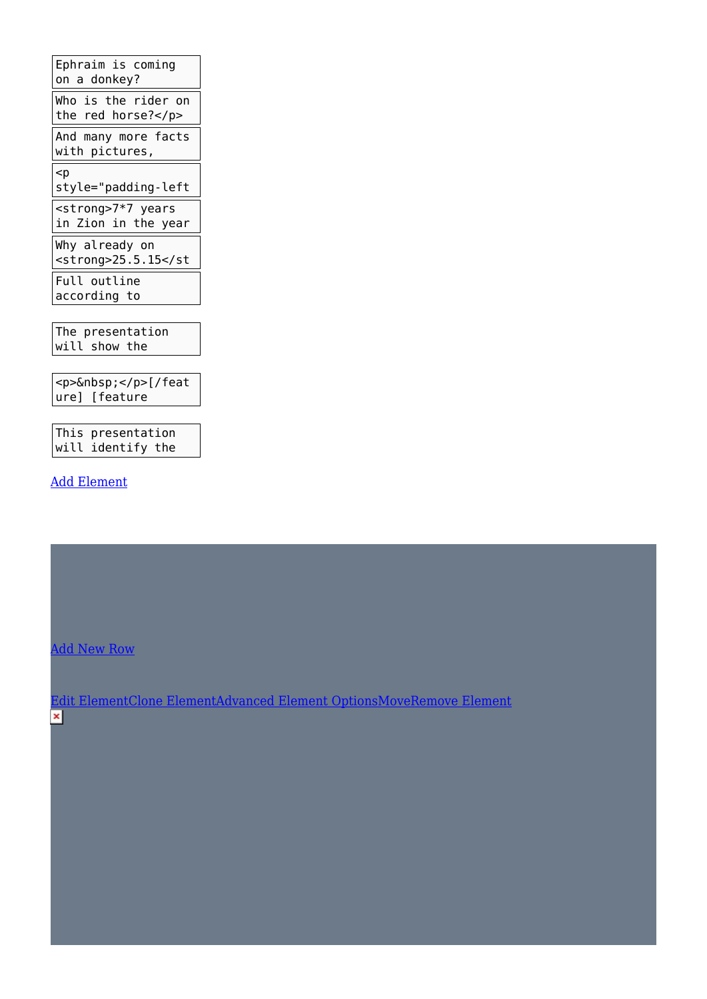Ephraim is coming on a donkey? Who is the rider on the red horse?</p> And many more facts with pictures, <p style="padding-left <strong>7\*7 years in Zion in the year Why already on <strong>25.5.15</st Full outline according to

The presentation will show the

<p>&nbsp;</p>[/feat ure] [feature

This presentation will identify the

[Add Element](#page--1-0)

[Add New Row](#page--1-0)

[Edit ElementClone ElementAdvanced Element OptionsMoveRemove Element](#page--1-0) $\pmb{\times}$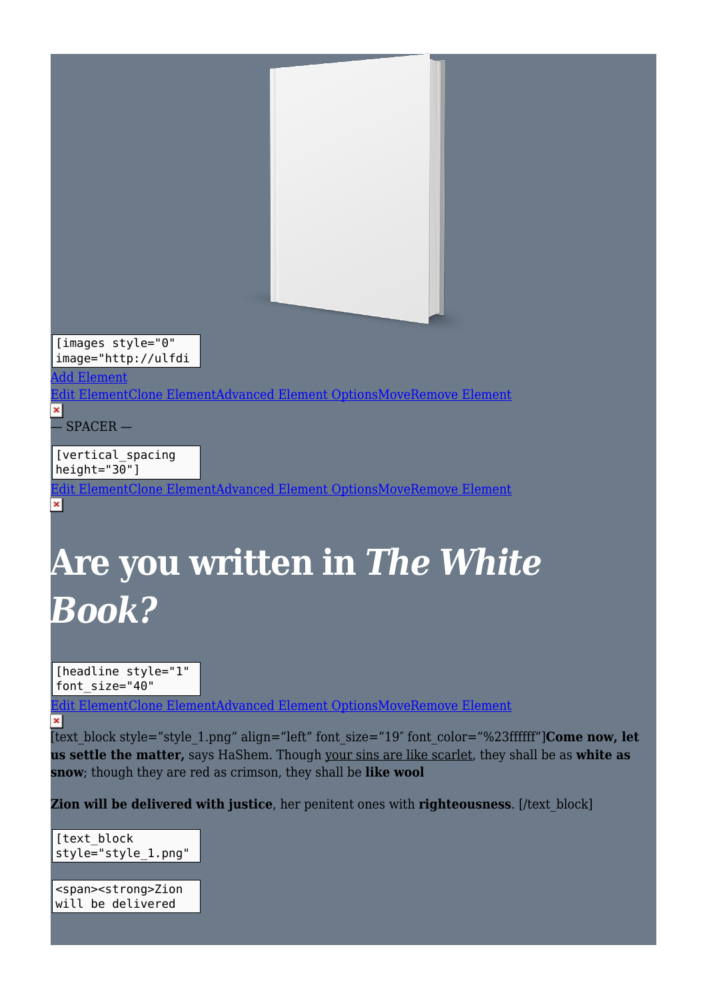

[images style="0" image="http://ulfdi

#### ld Element

[Edit ElementClone ElementAdvanced Element OptionsMoveRemove Element](#page--1-0)

 $\pmb{\times}$  $\overline{\phantom{a}}$  SPACER  $\overline{\phantom{a}}$ 

[vertical\_spacing height="30"]

[Edit ElementClone ElementAdvanced Element OptionsMoveRemove Element](#page--1-0)  $\pmb{\times}$ 

## **Are you written in** *The White Book?*

[headline style="1" font\_size="40"

mentClone ElementAdvanced Element OptionsMoveRemove Element  $\pmb{\times}$ 

[text\_block style="style\_1.png" align="left" font\_size="19″ font\_color="%23ffffff"]**Come now, let us settle the matter,** says HaShem. Though your sins are like scarlet, they shall be as **white as snow**; though they are red as crimson, they shall be **like wool**

**Zion will be delivered with justice**, her penitent ones with **righteousness**. [/text\_block]

[text\_block style="style\_1.png"

<span><strong>Zion will be delivered